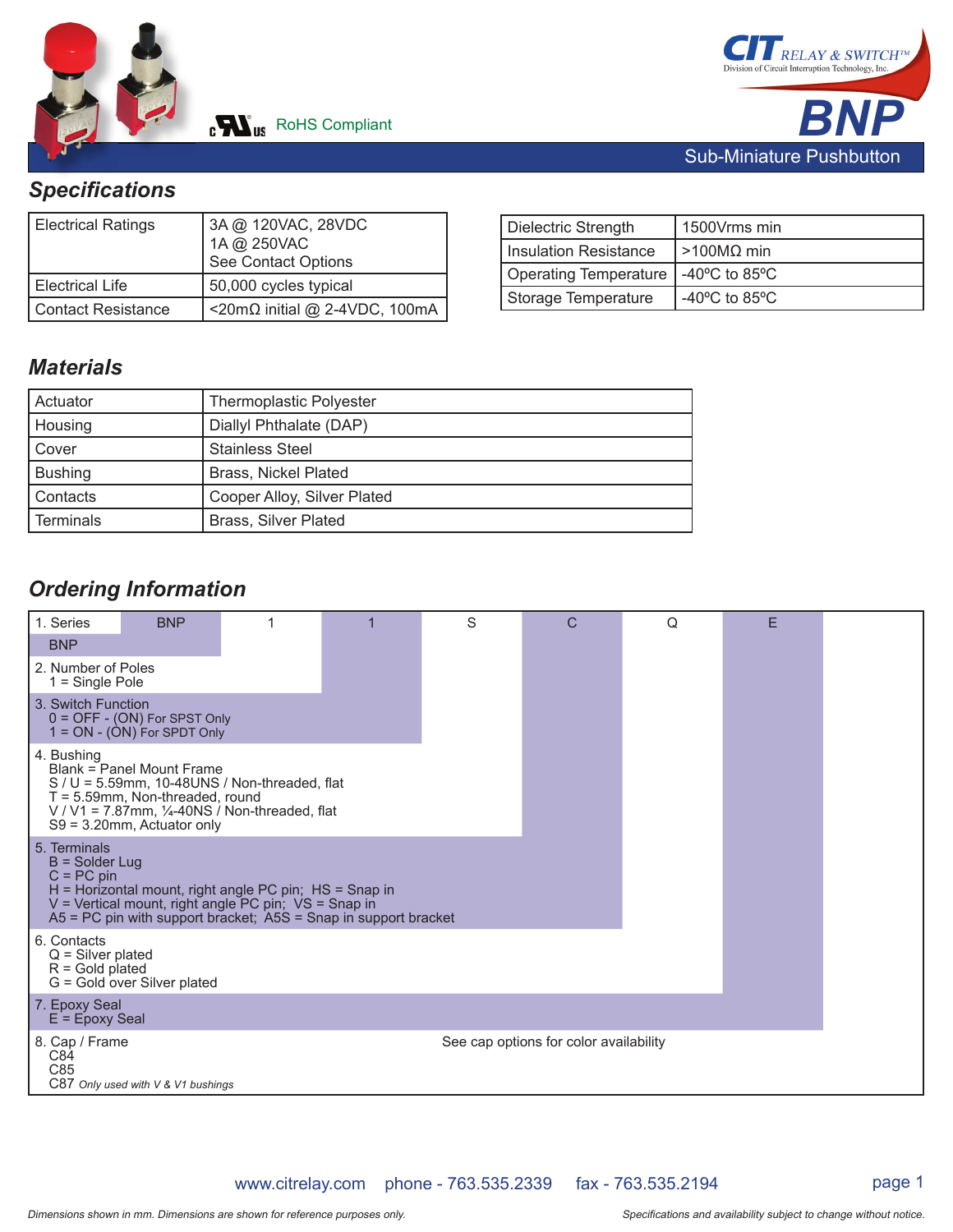



# *Specifi cations*

| <b>Electrical Ratings</b> | 3A @ 120VAC, 28VDC<br>1A @ 250VAC<br>See Contact Options |  |
|---------------------------|----------------------------------------------------------|--|
| Electrical Life           | 50,000 cycles typical                                    |  |
| Contact Resistance        | <20mΩ initial @ 2-4VDC, 100mA                            |  |

| Dielectric Strength                   | 1500Vrms min                      |
|---------------------------------------|-----------------------------------|
| Insulation Resistance                 | $\mid$ >100MΩ min                 |
| Operating Temperature   -40°C to 85°C |                                   |
| Storage Temperature                   | -40 $\degree$ C to 85 $\degree$ C |

### *Materials*

| l Actuator     | <b>Thermoplastic Polyester</b> |
|----------------|--------------------------------|
| Housing        | Diallyl Phthalate (DAP)        |
| Cover          | <b>Stainless Steel</b>         |
| <b>Bushing</b> | <b>Brass, Nickel Plated</b>    |
| l Contacts     | Cooper Alloy, Silver Plated    |
| Terminals      | <b>Brass, Silver Plated</b>    |

## *Ordering Information*

| 1. Series<br><b>BNP</b>                                 | <b>BNP</b>                                                                                       |                                                                                                                                                                                           | S | C                                      | Q | F |  |
|---------------------------------------------------------|--------------------------------------------------------------------------------------------------|-------------------------------------------------------------------------------------------------------------------------------------------------------------------------------------------|---|----------------------------------------|---|---|--|
| 2. Number of Poles<br>$1 =$ Single Pole                 |                                                                                                  |                                                                                                                                                                                           |   |                                        |   |   |  |
| 3. Switch Function                                      | $0 =$ OFF $-$ (ON) For SPST Only<br>$1 = ON - (ON)$ For SPDT Only                                |                                                                                                                                                                                           |   |                                        |   |   |  |
| 4. Bushing                                              | Blank = Panel Mount Frame<br>$T = 5.59$ mm, Non-threaded, round<br>$S9 = 3.20$ mm, Actuator only | $S / U = 5.59$ mm, 10-48UNS / Non-threaded, flat<br>V / V1 = $7.87$ mm, $\frac{1}{4}$ -40NS / Non-threaded, flat                                                                          |   |                                        |   |   |  |
| 5. Terminals<br>$B =$ Solder Lug<br>$C = PC$ pin        |                                                                                                  | $H =$ Horizontal mount, right angle PC pin; $HS =$ Snap in<br>V = Vertical mount, right angle PC pin; VS = Snap in<br>$AS = PC$ pin with support bracket; $ASS =$ Snap in support bracket |   |                                        |   |   |  |
| 6. Contacts<br>$Q =$ Silver plated<br>$R =$ Gold plated | G = Gold over Silver plated                                                                      |                                                                                                                                                                                           |   |                                        |   |   |  |
| 7. Epoxy Seal<br>$E = E$ poxy Seal                      |                                                                                                  |                                                                                                                                                                                           |   |                                        |   |   |  |
| 8. Cap / Frame<br>C84<br>C85                            | C87 Only used with V & V1 bushings                                                               |                                                                                                                                                                                           |   | See cap options for color availability |   |   |  |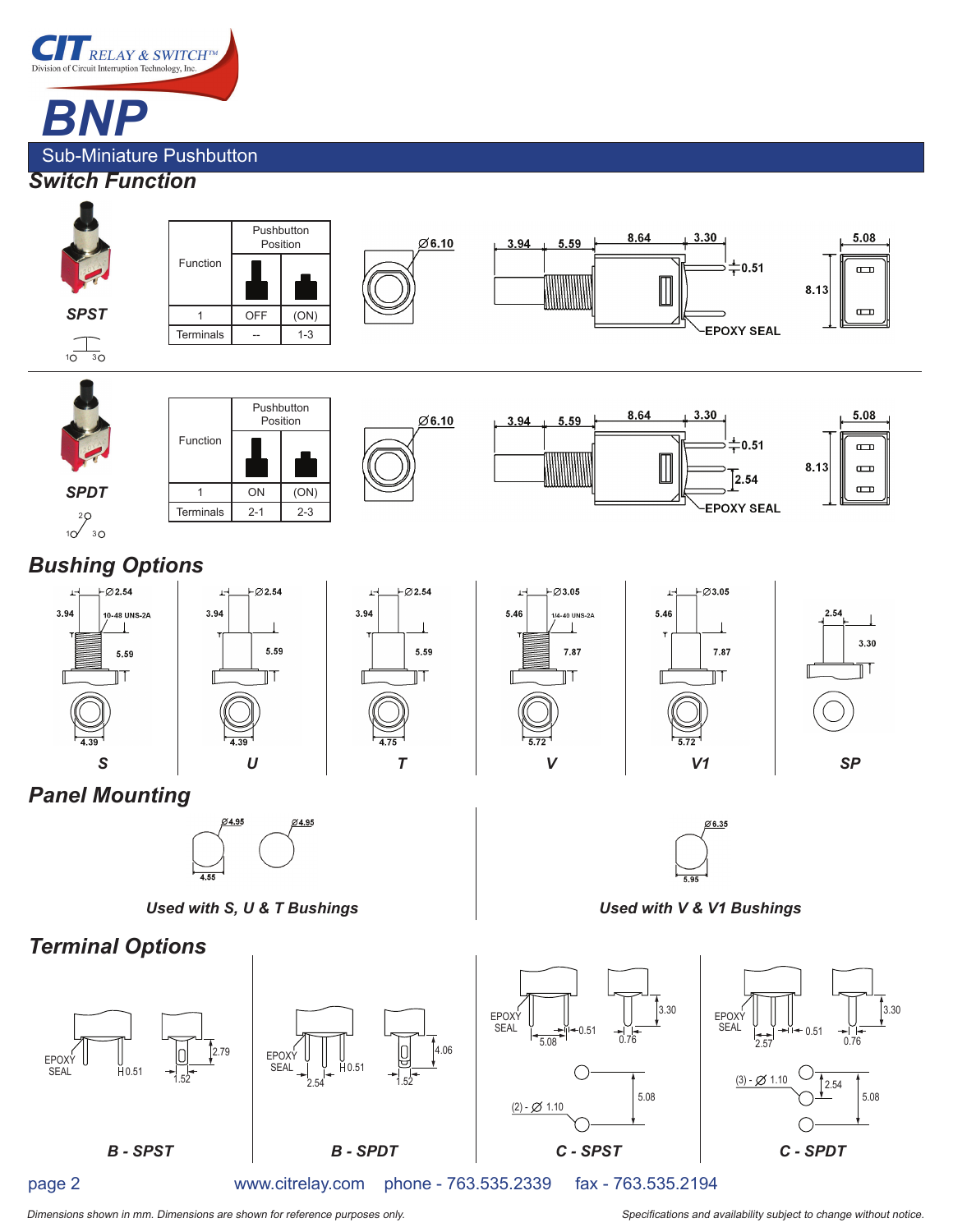

Sub-Miniature Pushbutton

#### *Switch Function*



www.citrelay.com phone - 763.535.2339 fax - 763.535.2194

page 2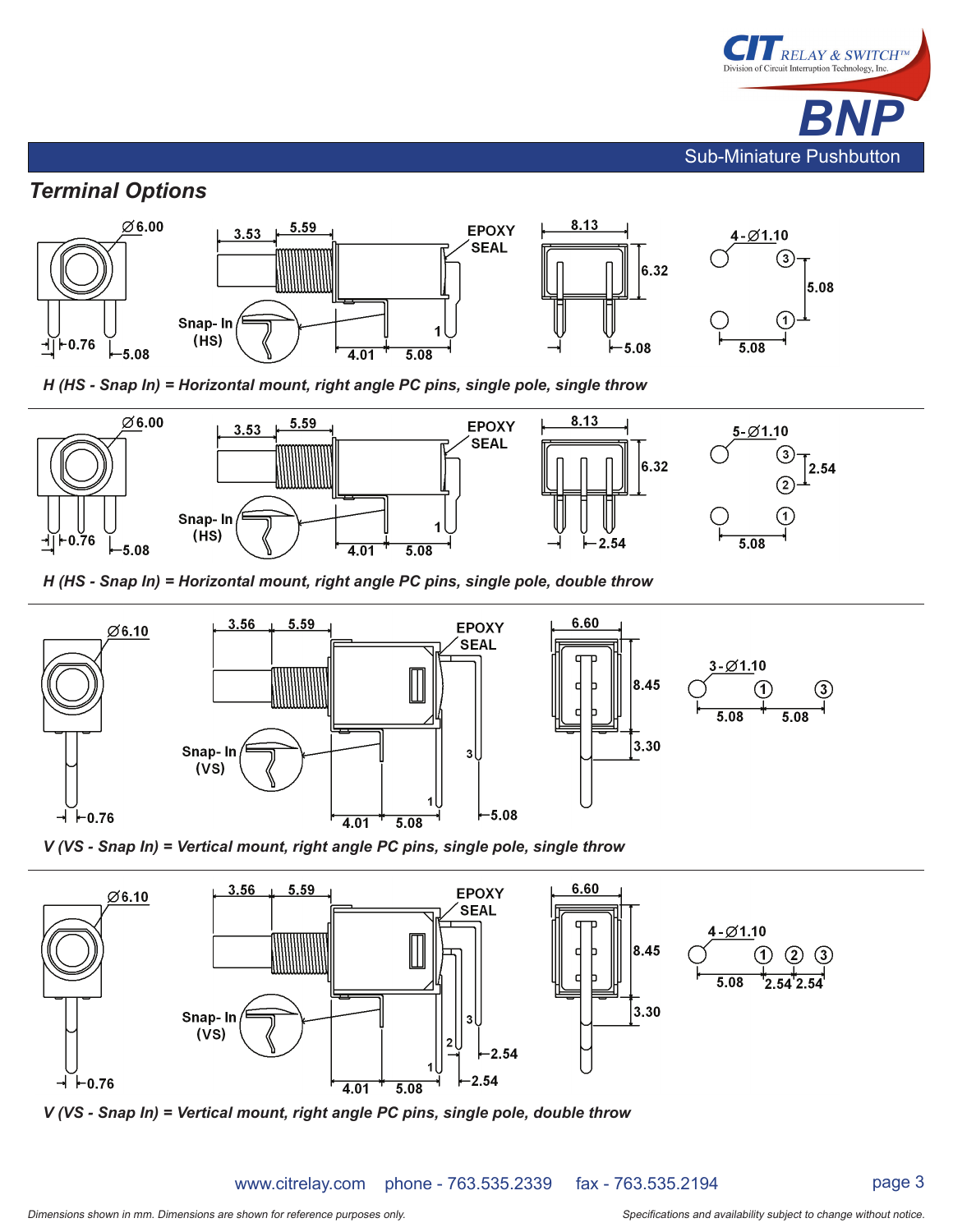

#### *Terminal Options*



 *H (HS - Snap In) = Horizontal mount, right angle PC pins, single pole, single throw*



 *H (HS - Snap In) = Horizontal mount, right angle PC pins, single pole, double throw*





 *V (VS - Snap In) = Vertical mount, right angle PC pins, single pole, single throw*



 *V (VS - Snap In) = Vertical mount, right angle PC pins, single pole, double throw*

www.citrelay.com phone - 763.535.2339 fax - 763.535.2194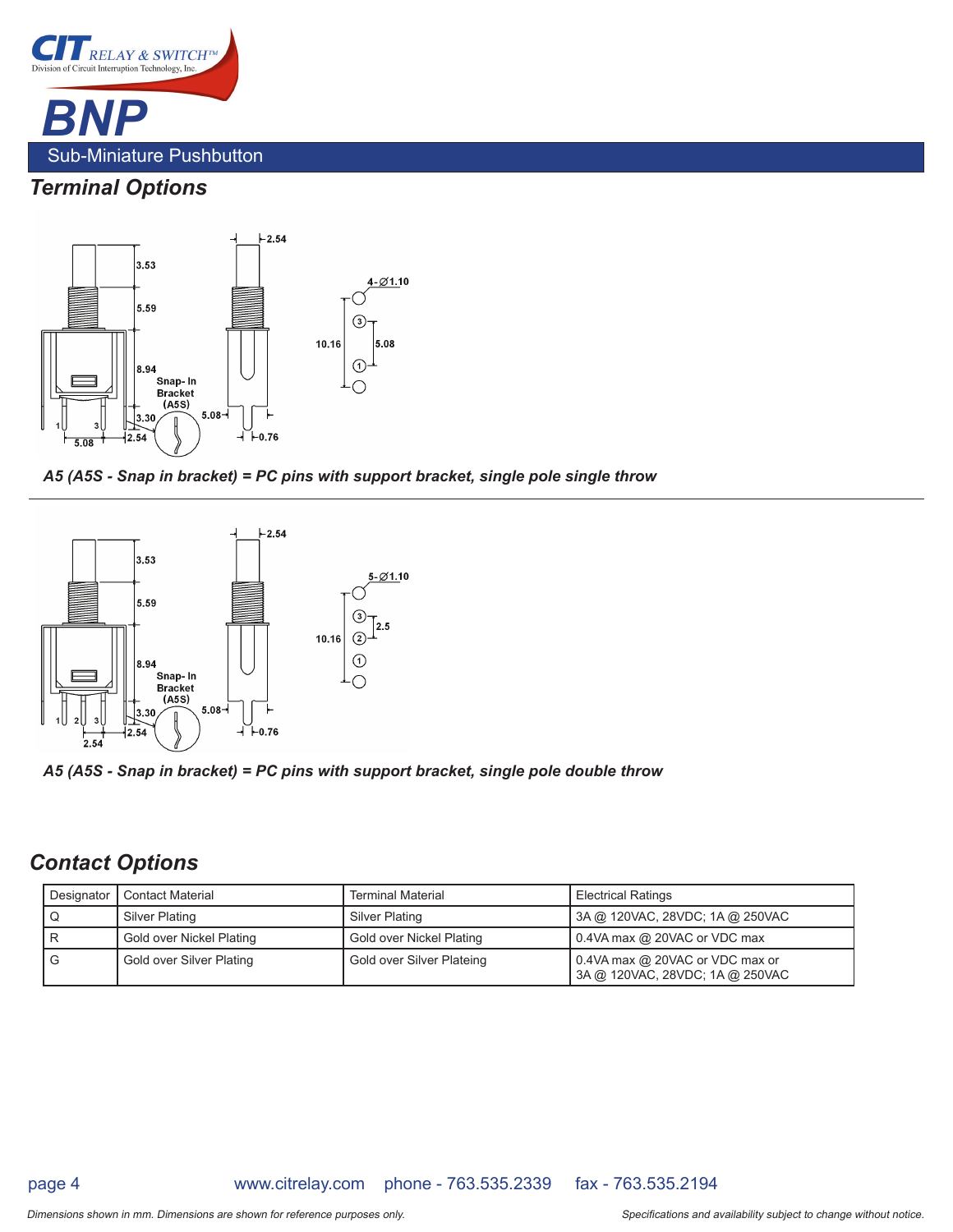

# *Terminal Options*



 *A5 (A5S - Snap in bracket) = PC pins with support bracket, single pole single throw*



 *A5 (A5S - Snap in bracket) = PC pins with support bracket, single pole double throw*

## *Contact Options*

|   | Designator   Contact Material | <b>Terminal Material</b>  | <b>Electrical Ratings</b>                                             |
|---|-------------------------------|---------------------------|-----------------------------------------------------------------------|
|   | Silver Plating                | Silver Plating            | 3A @ 120VAC, 28VDC; 1A @ 250VAC                                       |
|   | Gold over Nickel Plating      | Gold over Nickel Plating  | 0.4VA max @ 20VAC or VDC max                                          |
| G | Gold over Silver Plating      | Gold over Silver Plateing | $0.4$ VA max @ 20VAC or VDC max or<br>3A @ 120VAC, 28VDC; 1A @ 250VAC |